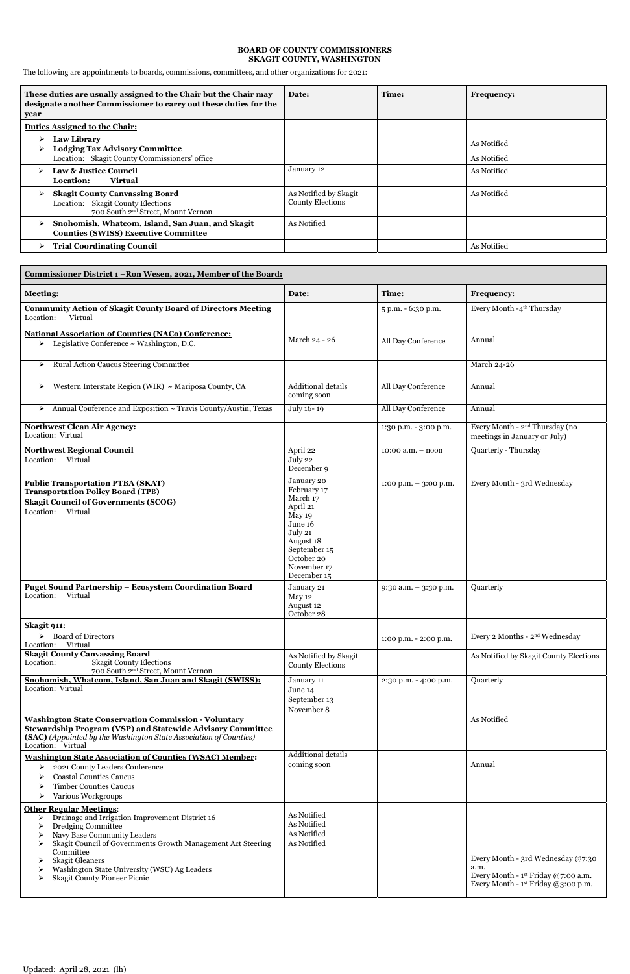## **BOARD OF COUNTY COMMISSIONERS SKAGIT COUNTY, WASHINGTON**

The following are appointments to boards, commissions, committees, and other organizations for 2021:

| These duties are usually assigned to the Chair but the Chair may<br>designate another Commissioner to carry out these duties for the<br>year | Date:                                            | Time: | <b>Frequency:</b>          |
|----------------------------------------------------------------------------------------------------------------------------------------------|--------------------------------------------------|-------|----------------------------|
| <b>Duties Assigned to the Chair:</b>                                                                                                         |                                                  |       |                            |
| <b>Law Library</b><br><b>Lodging Tax Advisory Committee</b><br>Location: Skagit County Commissioners' office                                 |                                                  |       | As Notified<br>As Notified |
| <b>Law &amp; Justice Council</b><br><b>Virtual</b><br>Location:                                                                              | January 12                                       |       | As Notified                |
| <b>Skagit County Canvassing Board</b><br>➤<br>Location: Skagit County Elections<br>700 South 2 <sup>nd</sup> Street, Mount Vernon            | As Notified by Skagit<br><b>County Elections</b> |       | As Notified                |
| Snohomish, Whatcom, Island, San Juan, and Skagit<br><b>Counties (SWISS) Executive Committee</b>                                              | As Notified                                      |       |                            |
| <b>Trial Coordinating Council</b>                                                                                                            |                                                  |       | As Notified                |

| Commissioner District 1 - Ron Wesen, 2021, Member of the Board:                                                                                                                                                                                                                                                                                |                                                                                                                                                            |                          |                                                                                                                                       |  |
|------------------------------------------------------------------------------------------------------------------------------------------------------------------------------------------------------------------------------------------------------------------------------------------------------------------------------------------------|------------------------------------------------------------------------------------------------------------------------------------------------------------|--------------------------|---------------------------------------------------------------------------------------------------------------------------------------|--|
| <b>Meeting:</b>                                                                                                                                                                                                                                                                                                                                | Date:                                                                                                                                                      | Time:                    | <b>Frequency:</b>                                                                                                                     |  |
| <b>Community Action of Skagit County Board of Directors Meeting</b><br>Location:<br>Virtual                                                                                                                                                                                                                                                    |                                                                                                                                                            | 5 p.m. - 6:30 p.m.       | Every Month -4 <sup>th</sup> Thursday                                                                                                 |  |
| <b>National Association of Counties (NACo) Conference:</b><br>Legislative Conference ~ Washington, D.C.<br>➤                                                                                                                                                                                                                                   | March 24 - 26                                                                                                                                              | All Day Conference       | Annual                                                                                                                                |  |
| <b>Rural Action Caucus Steering Committee</b><br>➤                                                                                                                                                                                                                                                                                             |                                                                                                                                                            |                          | March 24-26                                                                                                                           |  |
| Western Interstate Region (WIR) ~ Mariposa County, CA<br>➤                                                                                                                                                                                                                                                                                     | <b>Additional details</b><br>coming soon                                                                                                                   | All Day Conference       | Annual                                                                                                                                |  |
| > Annual Conference and Exposition ~ Travis County/Austin, Texas                                                                                                                                                                                                                                                                               | July 16-19                                                                                                                                                 | All Day Conference       | Annual                                                                                                                                |  |
| <b>Northwest Clean Air Agency:</b><br>Location: Virtual                                                                                                                                                                                                                                                                                        |                                                                                                                                                            | 1:30 p.m. - 3:00 p.m.    | Every Month - 2 <sup>nd</sup> Thursday (no<br>meetings in January or July)                                                            |  |
| <b>Northwest Regional Council</b><br>Location: Virtual                                                                                                                                                                                                                                                                                         | April 22<br>July 22<br>December 9                                                                                                                          | $10:00$ a.m. $-$ noon    | Quarterly - Thursday                                                                                                                  |  |
| <b>Public Transportation PTBA (SKAT)</b><br><b>Transportation Policy Board (TPB)</b><br><b>Skagit Council of Governments (SCOG)</b><br>Location: Virtual                                                                                                                                                                                       | January 20<br>February 17<br>March 17<br>April 21<br>May 19<br>June 16<br>July 21<br>August 18<br>September 15<br>October 20<br>November 17<br>December 15 | $1:00$ p.m. $-3:00$ p.m. | Every Month - 3rd Wednesday                                                                                                           |  |
| <b>Puget Sound Partnership - Ecosystem Coordination Board</b><br>Location:<br>Virtual                                                                                                                                                                                                                                                          | January 21<br>May 12<br>August 12<br>October 28                                                                                                            | $9:30$ a.m. $-3:30$ p.m. | Quarterly                                                                                                                             |  |
| Skagit 911:<br>$\triangleright$ Board of Directors<br>Location: Virtual                                                                                                                                                                                                                                                                        |                                                                                                                                                            | $1:00$ p.m. $-2:00$ p.m. | Every 2 Months - 2 <sup>nd</sup> Wednesday                                                                                            |  |
| <b>Skagit County Canvassing Board</b><br><b>Skagit County Elections</b><br>Location:<br>700 South 2 <sup>nd</sup> Street, Mount Vernon                                                                                                                                                                                                         | As Notified by Skagit<br><b>County Elections</b>                                                                                                           |                          | As Notified by Skagit County Elections                                                                                                |  |
| Snohomish, Whatcom, Island, San Juan and Skagit (SWISS):<br>Location: Virtual                                                                                                                                                                                                                                                                  | January 11<br>June 14<br>September 13<br>November 8                                                                                                        | 2:30 p.m. - 4:00 p.m.    | Quarterly                                                                                                                             |  |
| <b>Washington State Conservation Commission - Voluntary</b><br><b>Stewardship Program (VSP) and Statewide Advisory Committee</b><br>(SAC) (Appointed by the Washington State Association of Counties)<br>Location: Virtual                                                                                                                     |                                                                                                                                                            |                          | As Notified                                                                                                                           |  |
| <b>Washington State Association of Counties (WSAC) Member:</b><br>2021 County Leaders Conference<br>➤<br><b>Coastal Counties Caucus</b><br><b>Timber Counties Caucus</b><br>Various Workgroups                                                                                                                                                 | <b>Additional details</b><br>coming soon                                                                                                                   |                          | Annual                                                                                                                                |  |
| <b>Other Regular Meetings:</b><br>Drainage and Irrigation Improvement District 16<br>≻<br>Dredging Committee<br>Navy Base Community Leaders<br>Skagit Council of Governments Growth Management Act Steering<br>Committee<br><b>Skagit Gleaners</b><br>Washington State University (WSU) Ag Leaders<br><b>Skagit County Pioneer Picnic</b><br>⋗ | As Notified<br>As Notified<br>As Notified<br>As Notified                                                                                                   |                          | Every Month - 3rd Wednesday @7:30<br>a.m.<br>Every Month - 1 <sup>st</sup> Friday @7:00 a.m.<br>Every Month - $1st$ Friday @3:00 p.m. |  |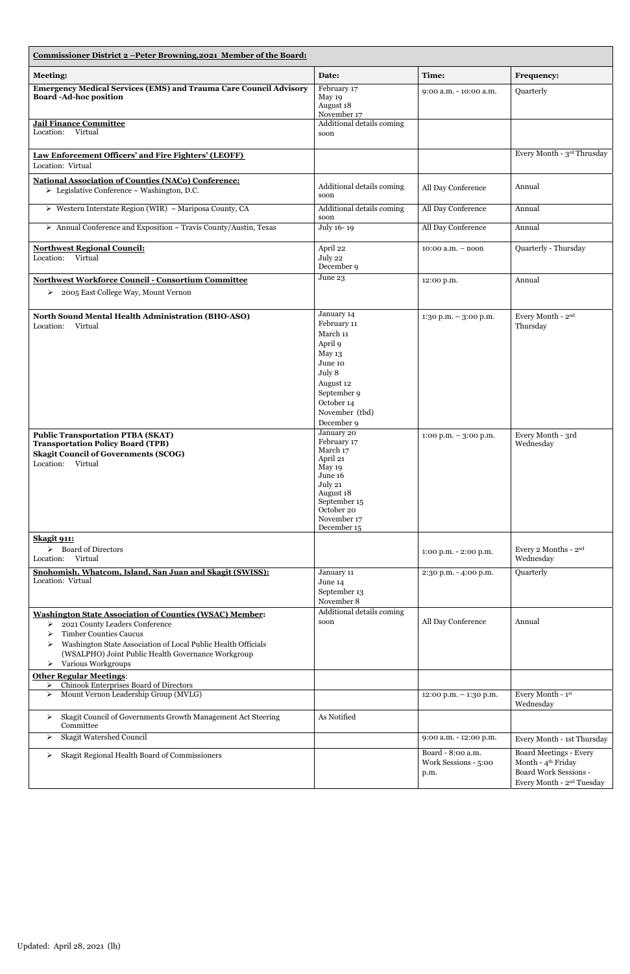| Commissioner District 2 - Peter Browning, 2021 Member of the Board:                                                                                                                                                                                                                                |                                                                                                                                                            |                                                   |                                                                                                                                   |
|----------------------------------------------------------------------------------------------------------------------------------------------------------------------------------------------------------------------------------------------------------------------------------------------------|------------------------------------------------------------------------------------------------------------------------------------------------------------|---------------------------------------------------|-----------------------------------------------------------------------------------------------------------------------------------|
| <b>Meeting:</b>                                                                                                                                                                                                                                                                                    | Date:                                                                                                                                                      | Time:                                             | <b>Frequency:</b>                                                                                                                 |
| <b>Emergency Medical Services (EMS) and Trauma Care Council Advisory</b><br><b>Board-Ad-hoc position</b>                                                                                                                                                                                           | February 17<br>May 19<br>August 18<br>November 17                                                                                                          | 9:00 a.m. - 10:00 a.m.                            | Quarterly                                                                                                                         |
| <b>Jail Finance Committee</b><br>Location: Virtual                                                                                                                                                                                                                                                 | Additional details coming<br>soon                                                                                                                          |                                                   |                                                                                                                                   |
| Law Enforcement Officers' and Fire Fighters' (LEOFF)<br>Location: Virtual                                                                                                                                                                                                                          |                                                                                                                                                            |                                                   | Every Month - 3rd Thrusday                                                                                                        |
| <b>National Association of Counties (NACo) Conference:</b><br>$\triangleright$ Legislative Conference ~ Washington, D.C.                                                                                                                                                                           | Additional details coming<br>soon                                                                                                                          | All Day Conference                                | Annual                                                                                                                            |
| > Western Interstate Region (WIR) ~ Mariposa County, CA                                                                                                                                                                                                                                            | Additional details coming<br>soon                                                                                                                          | All Day Conference                                | Annual                                                                                                                            |
| > Annual Conference and Exposition ~ Travis County/Austin, Texas                                                                                                                                                                                                                                   | July 16-19                                                                                                                                                 | All Day Conference                                | Annual                                                                                                                            |
| <b>Northwest Regional Council:</b><br>Location: Virtual                                                                                                                                                                                                                                            | April 22<br>July 22<br>December 9                                                                                                                          | $10:00$ a.m. $-$ noon                             | Quarterly - Thursday                                                                                                              |
| <b>Northwest Workforce Council - Consortium Committee</b>                                                                                                                                                                                                                                          | June 23                                                                                                                                                    | 12:00 p.m.                                        | Annual                                                                                                                            |
| 2005 East College Way, Mount Vernon<br>➤                                                                                                                                                                                                                                                           |                                                                                                                                                            |                                                   |                                                                                                                                   |
| <b>North Sound Mental Health Administration (BHO-ASO)</b><br>Location:<br>Virtual                                                                                                                                                                                                                  | January 14<br>February 11<br>March 11<br>April 9<br>May 13<br>June 10<br>July 8<br>August 12<br>September 9<br>October 14<br>November (tbd)<br>December 9  | $1:30$ p.m. $-3:00$ p.m.                          | Every Month - 2 <sup>nd</sup><br>Thursday                                                                                         |
| <b>Public Transportation PTBA (SKAT)</b><br><b>Transportation Policy Board (TPB)</b><br><b>Skagit Council of Governments (SCOG)</b><br>Location: Virtual                                                                                                                                           | January 20<br>February 17<br>March 17<br>April 21<br>May 19<br>June 16<br>July 21<br>August 18<br>September 15<br>October 20<br>November 17<br>December 15 | $1:00$ p.m. $-3:00$ p.m.                          | Every Month - 3rd<br>Wednesday                                                                                                    |
| <b>Skagit 911:</b><br>$\triangleright$ Board of Directors<br>Location: Virtual                                                                                                                                                                                                                     |                                                                                                                                                            | 1:00 p.m. - 2:00 p.m.                             | Every 2 Months - 2nd<br>Wednesday                                                                                                 |
| Snohomish, Whatcom, Island, San Juan and Skagit (SWISS):<br>Location: Virtual                                                                                                                                                                                                                      | January 11<br>June 14<br>September 13<br>November 8                                                                                                        | 2:30 p.m. - 4:00 p.m.                             | Quarterly                                                                                                                         |
| <b>Washington State Association of Counties (WSAC) Member:</b><br>2021 County Leaders Conference<br>≻<br><b>Timber Counties Caucus</b><br>≻<br>Washington State Association of Local Public Health Officials<br>≻<br>(WSALPHO) Joint Public Health Governance Workgroup<br>Various Workgroups<br>➤ | Additional details coming<br>soon                                                                                                                          | All Day Conference                                | Annual                                                                                                                            |
| <b>Other Regular Meetings:</b><br>Chinook Enterprises Board of Directors<br>≻                                                                                                                                                                                                                      |                                                                                                                                                            |                                                   |                                                                                                                                   |
| Mount Vernon Leadership Group (MVLG)<br>≻                                                                                                                                                                                                                                                          |                                                                                                                                                            | 12:00 p.m. - 1:30 p.m.                            | Every Month - 1st<br>Wednesday                                                                                                    |
| Skagit Council of Governments Growth Management Act Steering<br>➤<br>Committee                                                                                                                                                                                                                     | As Notified                                                                                                                                                |                                                   |                                                                                                                                   |
| Skagit Watershed Council<br>≻                                                                                                                                                                                                                                                                      |                                                                                                                                                            | 9:00 a.m. - 12:00 p.m.                            | Every Month - 1st Thursday                                                                                                        |
| Skagit Regional Health Board of Commissioners<br>➤                                                                                                                                                                                                                                                 |                                                                                                                                                            | Board - 8:00 a.m.<br>Work Sessions - 5:00<br>p.m. | <b>Board Meetings - Every</b><br>Month - 4 <sup>th</sup> Friday<br>Board Work Sessions -<br>Every Month - 2 <sup>nd</sup> Tuesday |